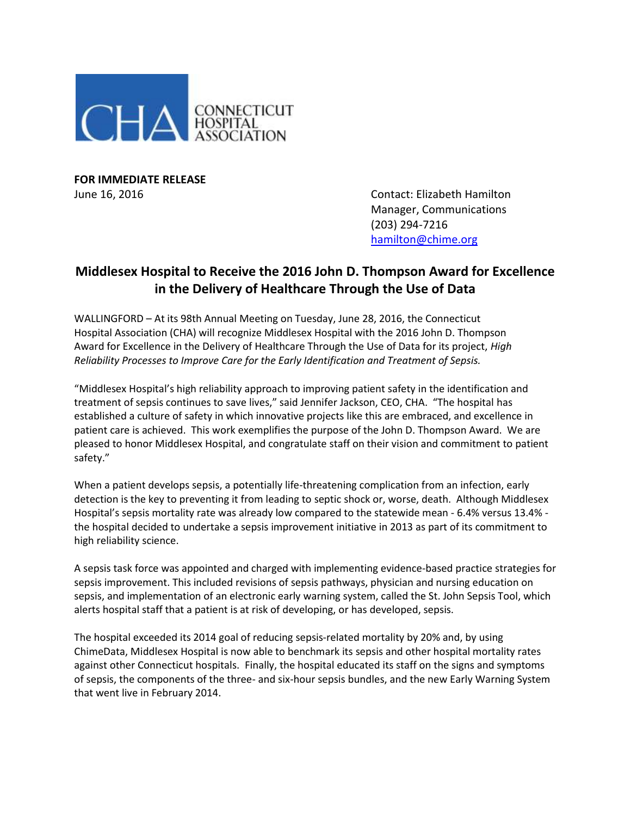

**FOR IMMEDIATE RELEASE**

June 16, 2016 Contact: Elizabeth Hamilton Manager, Communications (203) 294-7216 [hamilton@chime.org](mailto:hamilton@chime.org)

## **Middlesex Hospital to Receive the 2016 John D. Thompson Award for Excellence in the Delivery of Healthcare Through the Use of Data**

WALLINGFORD – At its 98th Annual Meeting on Tuesday, June 28, 2016, the Connecticut Hospital Association (CHA) will recognize Middlesex Hospital with the 2016 John D. Thompson Award for Excellence in the Delivery of Healthcare Through the Use of Data for its project, *High Reliability Processes to Improve Care for the Early Identification and Treatment of Sepsis.*

"Middlesex Hospital's high reliability approach to improving patient safety in the identification and treatment of sepsis continues to save lives," said Jennifer Jackson, CEO, CHA. "The hospital has established a culture of safety in which innovative projects like this are embraced, and excellence in patient care is achieved. This work exemplifies the purpose of the John D. Thompson Award. We are pleased to honor Middlesex Hospital, and congratulate staff on their vision and commitment to patient safety."

When a patient develops sepsis, a potentially life-threatening complication from an infection, early detection is the key to preventing it from leading to septic shock or, worse, death. Although Middlesex Hospital's sepsis mortality rate was already low compared to the statewide mean - 6.4% versus 13.4% the hospital decided to undertake a sepsis improvement initiative in 2013 as part of its commitment to high reliability science.

A sepsis task force was appointed and charged with implementing evidence-based practice strategies for sepsis improvement. This included revisions of sepsis pathways, physician and nursing education on sepsis, and implementation of an electronic early warning system, called the St. John Sepsis Tool, which alerts hospital staff that a patient is at risk of developing, or has developed, sepsis.

The hospital exceeded its 2014 goal of reducing sepsis-related mortality by 20% and, by using ChimeData, Middlesex Hospital is now able to benchmark its sepsis and other hospital mortality rates against other Connecticut hospitals. Finally, the hospital educated its staff on the signs and symptoms of sepsis, the components of the three- and six-hour sepsis bundles, and the new Early Warning System that went live in February 2014.